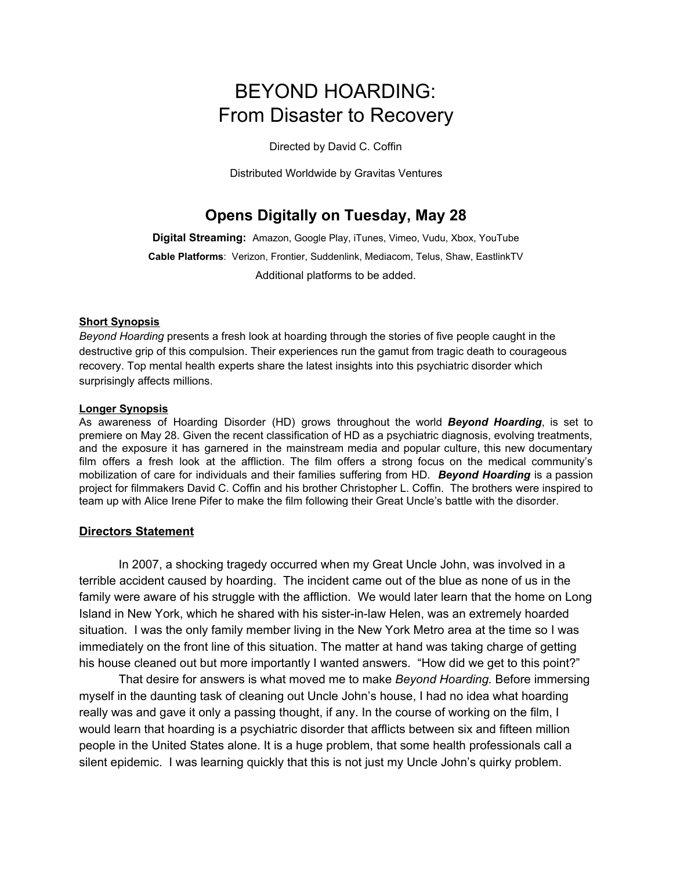# BEYOND HOARDING: From Disaster to Recovery

Directed by David C. Coffin

Distributed Worldwide by Gravitas Ventures

# **Opens Digitally on Tuesday, May 28**

**Digital Streaming:** Amazon, Google Play, iTunes, Vimeo, Vudu, Xbox, YouTube **Cable Platforms**: Verizon, Frontier, Suddenlink, Mediacom, Telus, Shaw, EastlinkTV Additional platforms to be added.

#### **Short Synopsis**

*Beyond Hoarding* presents a fresh look at hoarding through the stories of five people caught in the destructive grip of this compulsion. Their experiences run the gamut from tragic death to courageous recovery. Top mental health experts share the latest insights into this psychiatric disorder which surprisingly affects millions.

#### **Longer Synopsis**

As awareness of Hoarding Disorder (HD) grows throughout the world *Beyond Hoarding*, is set to premiere on May 28. Given the recent classification of HD as a psychiatric diagnosis, evolving treatments, and the exposure it has garnered in the mainstream media and popular culture, this new documentary film offers a fresh look at the affliction. The film offers a strong focus on the medical community's mobilization of care for individuals and their families suffering from HD. *Beyond Hoarding* is a passion project for filmmakers David C. Coffin and his brother Christopher L. Coffin. The brothers were inspired to team up with Alice Irene Pifer to make the film following their Great Uncle's battle with the disorder.

#### **Directors Statement**

In 2007, a shocking tragedy occurred when my Great Uncle John, was involved in a terrible accident caused by hoarding. The incident came out of the blue as none of us in the family were aware of his struggle with the affliction. We would later learn that the home on Long Island in New York, which he shared with his sister-in-law Helen, was an extremely hoarded situation. I was the only family member living in the New York Metro area at the time so I was immediately on the front line of this situation. The matter at hand was taking charge of getting his house cleaned out but more importantly I wanted answers. "How did we get to this point?"

That desire for answers is what moved me to make *Beyond Hoarding.* Before immersing myself in the daunting task of cleaning out Uncle John's house, I had no idea what hoarding really was and gave it only a passing thought, if any. In the course of working on the film, I would learn that hoarding is a psychiatric disorder that afflicts between six and fifteen million people in the United States alone. It is a huge problem, that some health professionals call a silent epidemic. I was learning quickly that this is not just my Uncle John's quirky problem.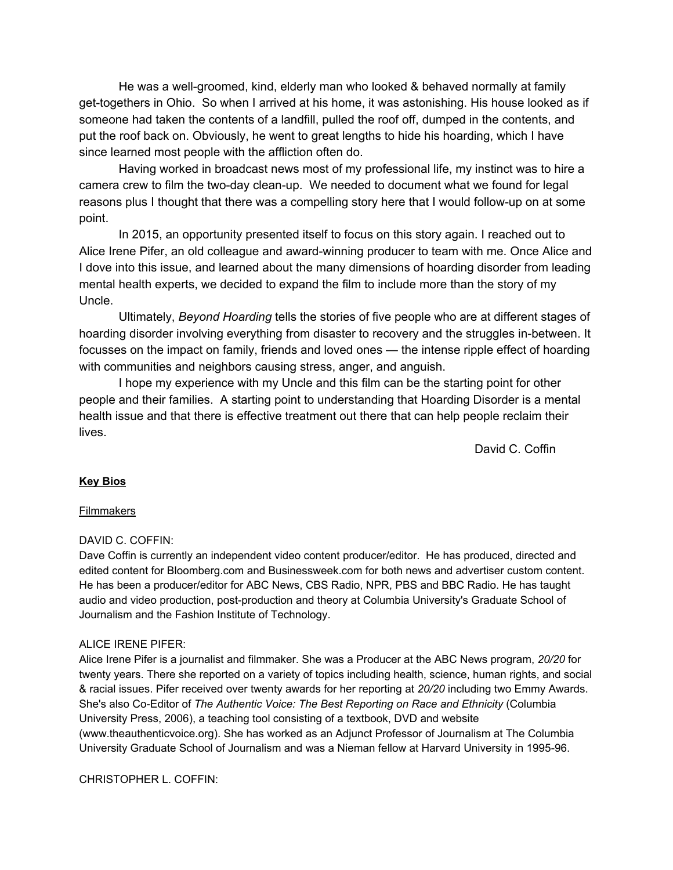He was a well-groomed, kind, elderly man who looked & behaved normally at family get-togethers in Ohio. So when I arrived at his home, it was astonishing. His house looked as if someone had taken the contents of a landfill, pulled the roof off, dumped in the contents, and put the roof back on. Obviously, he went to great lengths to hide his hoarding, which I have since learned most people with the affliction often do.

Having worked in broadcast news most of my professional life, my instinct was to hire a camera crew to film the two-day clean-up. We needed to document what we found for legal reasons plus I thought that there was a compelling story here that I would follow-up on at some point.

In 2015, an opportunity presented itself to focus on this story again. I reached out to Alice Irene Pifer, an old colleague and award-winning producer to team with me. Once Alice and I dove into this issue, and learned about the many dimensions of hoarding disorder from leading mental health experts, we decided to expand the film to include more than the story of my Uncle.

Ultimately, *Beyond Hoarding* tells the stories of five people who are at different stages of hoarding disorder involving everything from disaster to recovery and the struggles in-between. It focusses on the impact on family, friends and loved ones — the intense ripple effect of hoarding with communities and neighbors causing stress, anger, and anguish.

I hope my experience with my Uncle and this film can be the starting point for other people and their families. A starting point to understanding that Hoarding Disorder is a mental health issue and that there is effective treatment out there that can help people reclaim their lives.

David C. Coffin

# **Key Bios**

#### Filmmakers

#### DAVID C. COFFIN:

Dave Coffin is currently an independent video content producer/editor. He has produced, directed and edited content for [Bloomberg.com](http://bloomberg.com/) and [Businessweek.com](http://businessweek.com/) for both news and advertiser custom content. He has been a producer/editor for ABC News, CBS Radio, NPR, PBS and BBC Radio. He has taught audio and video production, post-production and theory at Columbia University's Graduate School of Journalism and the Fashion Institute of Technology.

#### ALICE IRENE PIFER:

Alice Irene Pifer is a journalist and filmmaker. She was a Producer at the ABC News program, *20/20* for twenty years. There she reported on a variety of topics including health, science, human rights, and social & racial issues. Pifer received over twenty awards for her reporting at *20/20* including two Emmy Awards. She's also Co-Editor of *The Authentic Voice: The Best Reporting on Race and Ethnicity* (Columbia University Press, 2006), a teaching tool consisting of a textbook, DVD and website [\(www.theauthenticvoice.org\)](https://eur01.safelinks.protection.outlook.com/?url=http%3A%2F%2Fwww.theauthenticvoice.org%2F&data=02%7C01%7C%7C9b446a344c774577559108d6c92aad15%7C84df9e7fe9f640afb435aaaaaaaaaaaa%7C1%7C0%7C636917582828542246&sdata=XGhqGoXM%2F5Lpf1M2l2XP5Kay4lreZ4%2FUT5KuhiBQ7w0%3D&reserved=0). She has worked as an Adjunct Professor of Journalism at The Columbia University Graduate School of Journalism and was a Nieman fellow at Harvard University in 1995-96.

CHRISTOPHER L. COFFIN: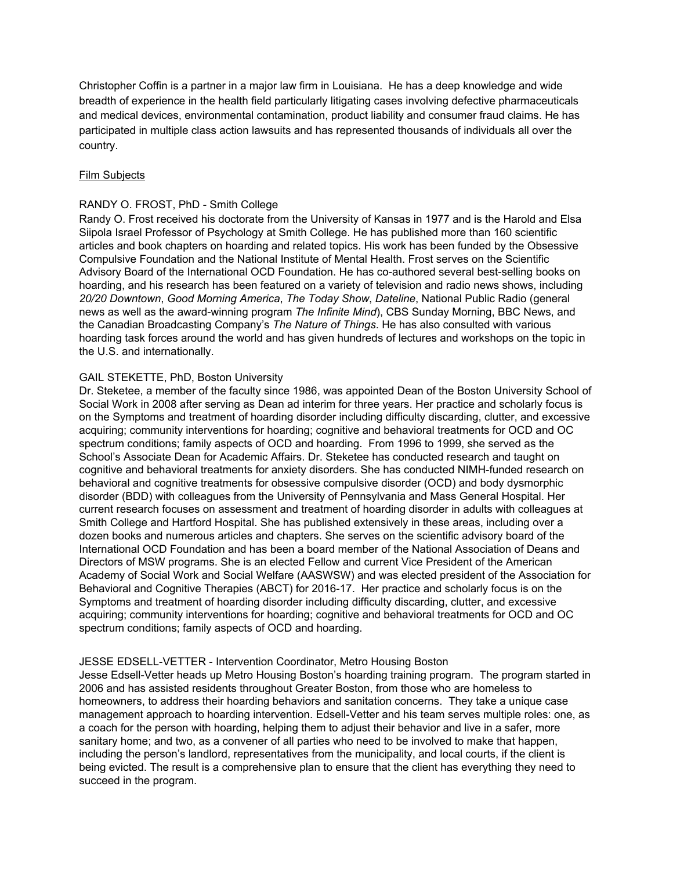Christopher Coffin is a partner in a major law firm in Louisiana. He has a deep knowledge and wide breadth of experience in the health field particularly litigating cases involving defective pharmaceuticals and medical devices, environmental contamination, product liability and consumer fraud claims. He has participated in multiple class action lawsuits and has represented thousands of individuals all over the country.

#### Film Subjects

#### RANDY O. FROST, PhD - Smith College

Randy O. Frost received his doctorate from the University of Kansas in 1977 and is the Harold and Elsa Siipola Israel Professor of Psychology at Smith College. He has published more than 160 scientific articles and book chapters on hoarding and related topics. His work has been funded by the Obsessive Compulsive Foundation and the National Institute of Mental Health. Frost serves on the Scientific Advisory Board of the International OCD Foundation. He has co-authored several best-selling books on hoarding, and his research has been featured on a variety of television and radio news shows, including *20/20 Downtown*, *Good Morning America*, *The Today Show*, *Dateline*, National Public Radio (general news as well as the award-winning program *The Infinite Mind*), CBS Sunday Morning, BBC News, and the Canadian Broadcasting Company's *The Nature of Things*. He has also consulted with various hoarding task forces around the world and has given hundreds of lectures and workshops on the topic in the U.S. and internationally.

#### GAIL STEKETTE, PhD, Boston University

Dr. Steketee, a member of the faculty since 1986, was appointed Dean of the Boston University School of Social Work in 2008 after serving as Dean ad interim for three years. Her practice and scholarly focus is on the Symptoms and treatment of hoarding disorder including difficulty discarding, clutter, and excessive acquiring; community interventions for hoarding; cognitive and behavioral treatments for OCD and OC spectrum conditions; family aspects of OCD and hoarding. From 1996 to 1999, she served as the School's Associate Dean for Academic Affairs. Dr. Steketee has conducted research and taught on cognitive and behavioral treatments for anxiety disorders. She has conducted NIMH-funded research on behavioral and cognitive treatments for obsessive compulsive disorder (OCD) and body dysmorphic disorder (BDD) with colleagues from the University of Pennsylvania and Mass General Hospital. Her current research focuses on assessment and treatment of hoarding disorder in adults with colleagues at Smith College and Hartford Hospital. She has published extensively in these areas, including over a dozen books and numerous articles and chapters. She serves on the scientific advisory board of the International OCD Foundation and has been a board member of the National Association of Deans and Directors of MSW programs. She is an elected Fellow and current Vice President of the American Academy of Social Work and Social Welfare (AASWSW) and was elected president of the Association for Behavioral and Cognitive Therapies (ABCT) for 2016-17. Her practice and scholarly focus is on the Symptoms and treatment of hoarding disorder including difficulty discarding, clutter, and excessive acquiring; community interventions for hoarding; cognitive and behavioral treatments for OCD and OC spectrum conditions; family aspects of OCD and hoarding.

#### JESSE EDSELL-VETTER - Intervention Coordinator, Metro Housing Boston

Jesse Edsell-Vetter heads up Metro Housing Boston's hoarding training program. The program started in 2006 and has assisted residents throughout Greater Boston, from those who are homeless to homeowners, to address their hoarding behaviors and sanitation concerns. They take a unique case management approach to hoarding intervention. Edsell-Vetter and his team serves multiple roles: one, as a coach for the person with hoarding, helping them to adjust their behavior and live in a safer, more sanitary home; and two, as a convener of all parties who need to be involved to make that happen, including the person's landlord, representatives from the municipality, and local courts, if the client is being evicted. The result is a comprehensive plan to ensure that the client has everything they need to succeed in the program.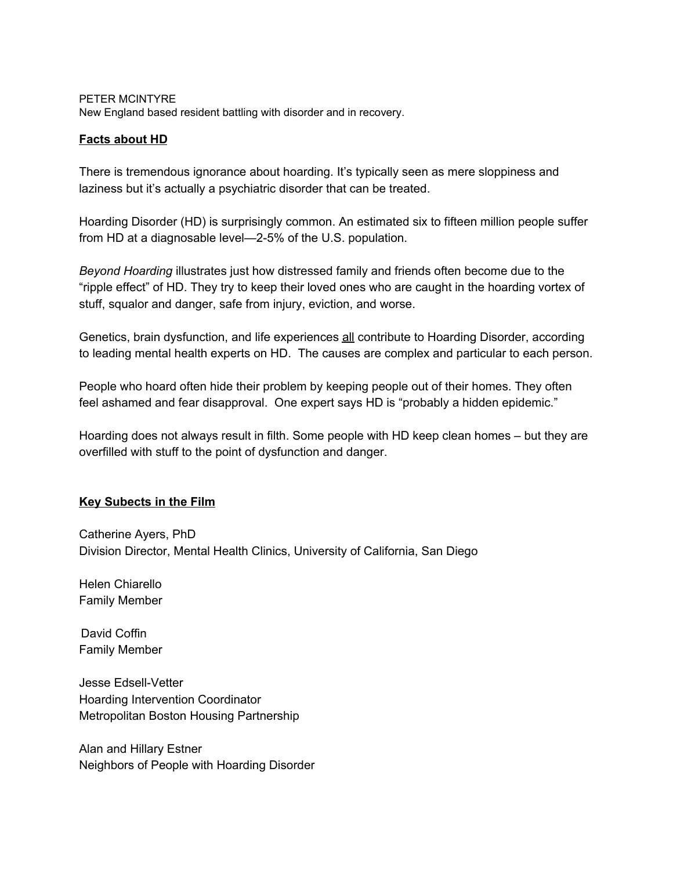#### PETER MCINTYRE

New England based resident battling with disorder and in recovery.

# **Facts about HD**

There is tremendous ignorance about hoarding. It's typically seen as mere sloppiness and laziness but it's actually a psychiatric disorder that can be treated.

Hoarding Disorder (HD) is surprisingly common. An estimated six to fifteen million people suffer from HD at a diagnosable level—2-5% of the U.S. population.

*Beyond Hoarding* illustrates just how distressed family and friends often become due to the "ripple effect" of HD. They try to keep their loved ones who are caught in the hoarding vortex of stuff, squalor and danger, safe from injury, eviction, and worse.

Genetics, brain dysfunction, and life experiences **all** contribute to Hoarding Disorder, according to leading mental health experts on HD. The causes are complex and particular to each person.

People who hoard often hide their problem by keeping people out of their homes. They often feel ashamed and fear disapproval. One expert says HD is "probably a hidden epidemic."

Hoarding does not always result in filth. Some people with HD keep clean homes – but they are overfilled with stuff to the point of dysfunction and danger.

#### **Key Subects in the Film**

Catherine Ayers, PhD Division Director, Mental Health Clinics, University of California, San Diego

Helen Chiarello Family Member

David Coffin Family Member

Jesse Edsell-Vetter Hoarding Intervention Coordinator Metropolitan Boston Housing Partnership

Alan and Hillary Estner Neighbors of People with Hoarding Disorder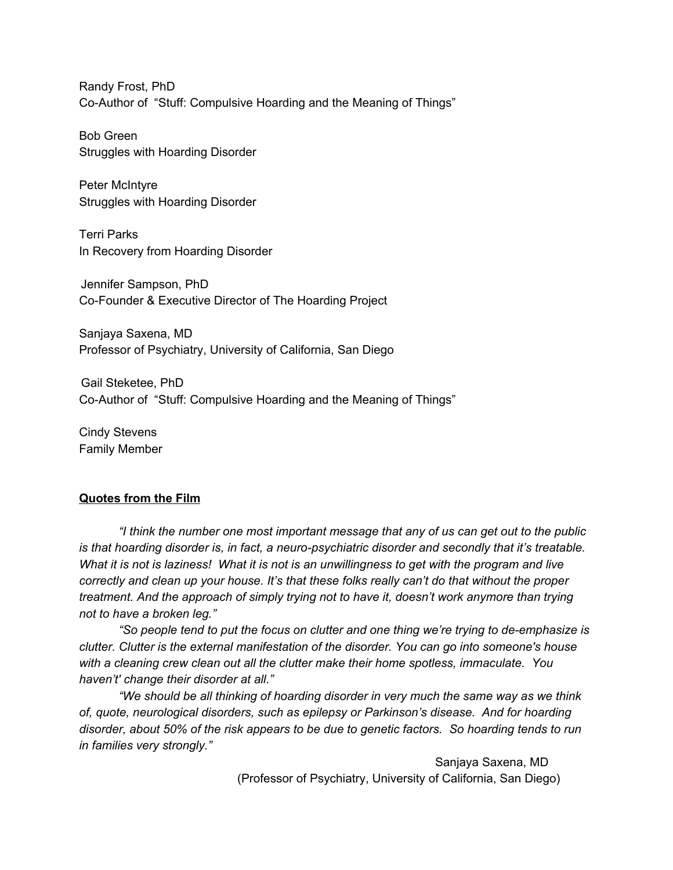Randy Frost, PhD Co-Author of "Stuff: Compulsive Hoarding and the Meaning of Things"

Bob Green Struggles with Hoarding Disorder

Peter McIntyre Struggles with Hoarding Disorder

Terri Parks In Recovery from Hoarding Disorder

Jennifer Sampson, PhD Co-Founder & Executive Director of The Hoarding Project

Sanjaya Saxena, MD Professor of Psychiatry, University of California, San Diego

Gail Steketee, PhD Co-Author of "Stuff: Compulsive Hoarding and the Meaning of Things"

Cindy Stevens Family Member

# **Quotes from the Film**

*"I think the number one most important message that any of us can get out to the public is that hoarding disorder is, in fact, a neuro-psychiatric disorder and secondly that it's treatable.* What it is not is laziness! What it is not is an unwillingness to get with the program and live *correctly and clean up your house. It's that these folks really can't do that without the proper treatment. And the approach of simply trying not to have it, doesn't work anymore than trying not to have a broken leg."*

*"So people tend to put the focus on clutter and one thing we're trying to de-emphasize is clutter. Clutter is the external manifestation of the disorder. You can go into someone's house with a cleaning crew clean out all the clutter make their home spotless, immaculate. You haven't' change their disorder at all."*

*"We should be all thinking of hoarding disorder in very much the same way as we think of, quote, neurological disorders, such as epilepsy or Parkinson's disease. And for hoarding disorder, about 50% of the risk appears to be due to genetic factors. So hoarding tends to run in families very strongly."*

> Sanjaya Saxena, MD (Professor of Psychiatry, University of California, San Diego)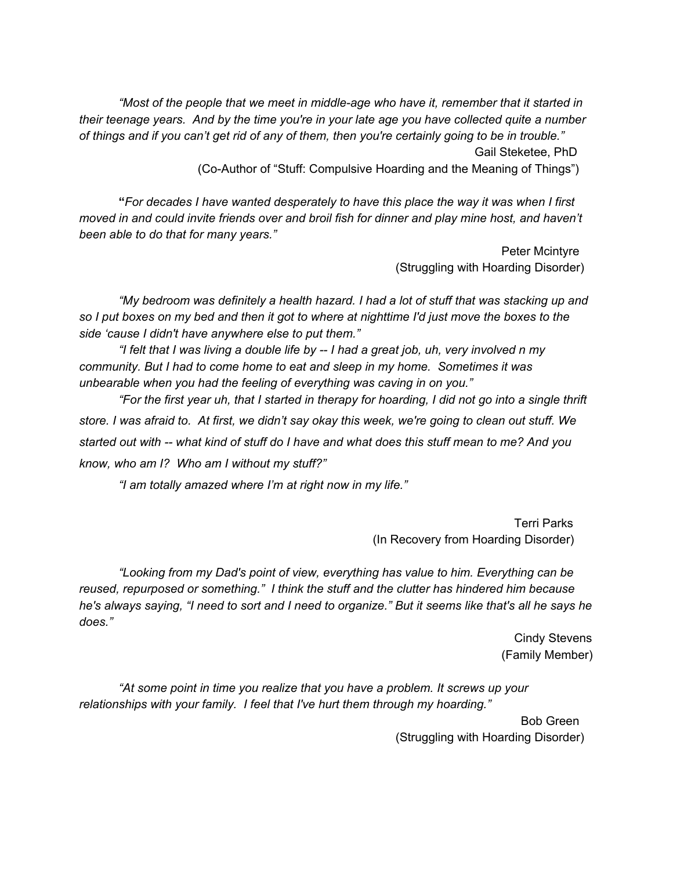*"Most of the people that we meet in middle-age who have it, remember that it started in their teenage years. And by the time you're in your late age you have collected quite a number* of things and if you can't get rid of any of them, then you're certainly going to be in trouble." Gail Steketee, PhD

(Co-Author of "Stuff: Compulsive Hoarding and the Meaning of Things")

**"***For decades I have wanted desperately to have this place the way it was when I first moved in and could invite friends over and broil fish for dinner and play mine host, and haven't been able to do that for many years."*

> Peter Mcintyre (Struggling with Hoarding Disorder)

*"My bedroom was definitely a health hazard. I had a lot of stuff that was stacking up and* so I put boxes on my bed and then it got to where at nighttime I'd just move the boxes to the *side 'cause I didn't have anywhere else to put them."*

"I felt that I was living a double life by -- I had a great job, uh, very involved n my *community. But I had to come home to eat and sleep in my home. Sometimes it was unbearable when you had the feeling of everything was caving in on you."*

"For the first year uh, that I started in therapy for hoarding, I did not go into a single thrift store. I was afraid to. At first, we didn't say okay this week, we're going to clean out stuff. We started out with -- what kind of stuff do I have and what does this stuff mean to me? And you *know, who am I? Who am I without my stuff?"*

*"I am totally amazed where I'm at right now in my life."*

Terri Parks (In Recovery from Hoarding Disorder)

*"Looking from my Dad's point of view, everything has value to him. Everything can be reused, repurposed or something." I think the stuff and the clutter has hindered him because* he's always saying, "I need to sort and I need to organize." But it seems like that's all he says he *does."*

> Cindy Stevens (Family Member)

*"At some point in time you realize that you have a problem. It screws up your relationships with your family. I feel that I've hurt them through my hoarding."*

> Bob Green (Struggling with Hoarding Disorder)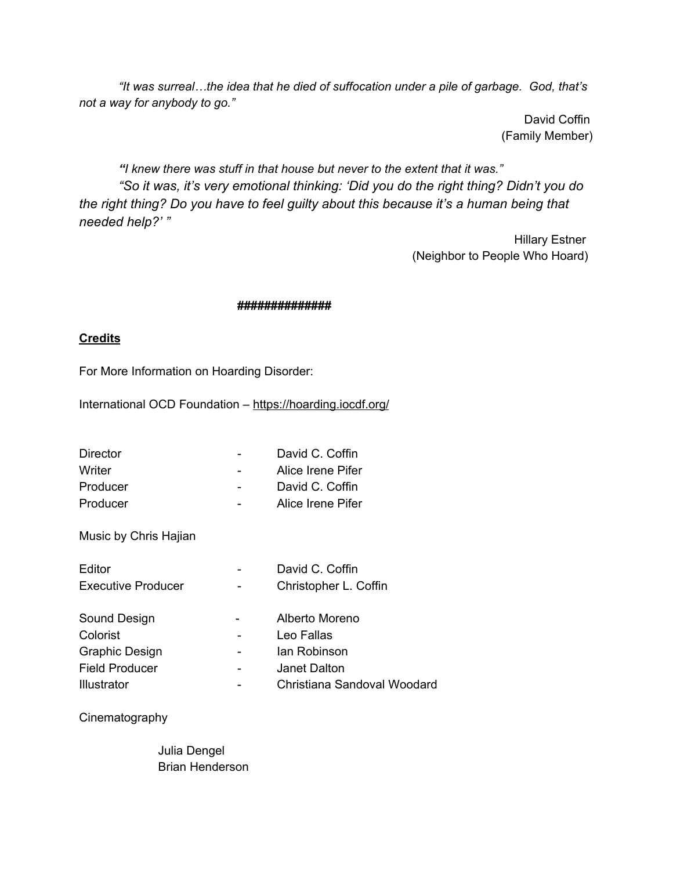*"It was surreal…the idea that he died of suffocation under a pile of garbage. God, that's not a way for anybody to go."*

> David Coffin (Family Member)

*"I knew there was stuff in that house but never to the extent that it was." "So it was, it's very emotional thinking: 'Did you do the right thing? Didn't you do the right thing? Do you have to feel guilty about this because it's a human being that needed help?' "*

> Hillary Estner (Neighbor to People Who Hoard)

## **##############**

# **Credits**

For More Information on Hoarding Disorder:

International OCD Foundation [–](https://hoarding.iocdf.org/) <https://hoarding.iocdf.org/>

| Director                  | David C. Coffin             |
|---------------------------|-----------------------------|
| Writer                    | Alice Irene Pifer           |
| Producer                  | David C. Coffin             |
| Producer                  | Alice Irene Pifer           |
| Music by Chris Hajian     |                             |
| Editor                    | David C. Coffin             |
| <b>Executive Producer</b> | Christopher L. Coffin       |
| Sound Design              | Alberto Moreno              |
| Colorist                  | Leo Fallas                  |
| Graphic Design            | lan Robinson                |
| Field Producer            | Janet Dalton                |
| Illustrator               | Christiana Sandoval Woodard |

Cinematography

Julia Dengel Brian Henderson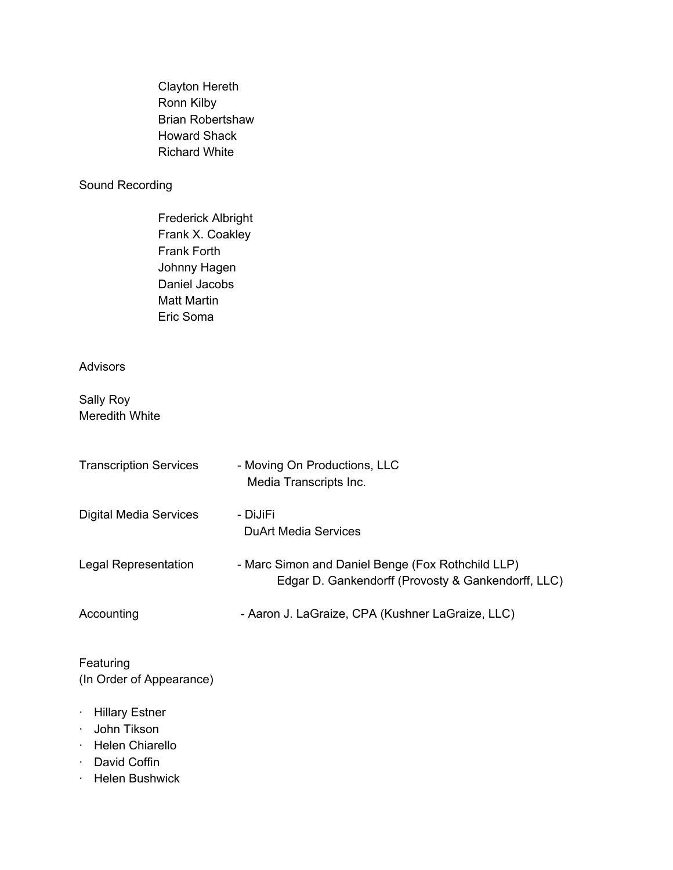Clayton Hereth Ronn Kilby Brian Robertshaw Howard Shack Richard White

# Sound Recording

Frederick Albright Frank X. Coakley Frank Forth Johnny Hagen Daniel Jacobs Matt Martin Eric Soma

# Advisors

Sally Roy Meredith White

| <b>Transcription Services</b> | - Moving On Productions, LLC<br>Media Transcripts Inc.                                                  |
|-------------------------------|---------------------------------------------------------------------------------------------------------|
| <b>Digital Media Services</b> | - DiJiFi<br>DuArt Media Services                                                                        |
| Legal Representation          | - Marc Simon and Daniel Benge (Fox Rothchild LLP)<br>Edgar D. Gankendorff (Provosty & Gankendorff, LLC) |
| Accounting                    | - Aaron J. LaGraize, CPA (Kushner LaGraize, LLC)                                                        |

Featuring (In Order of Appearance)

- · Hillary Estner
- · John Tikson
- · Helen Chiarello
- · David Coffin
- · Helen Bushwick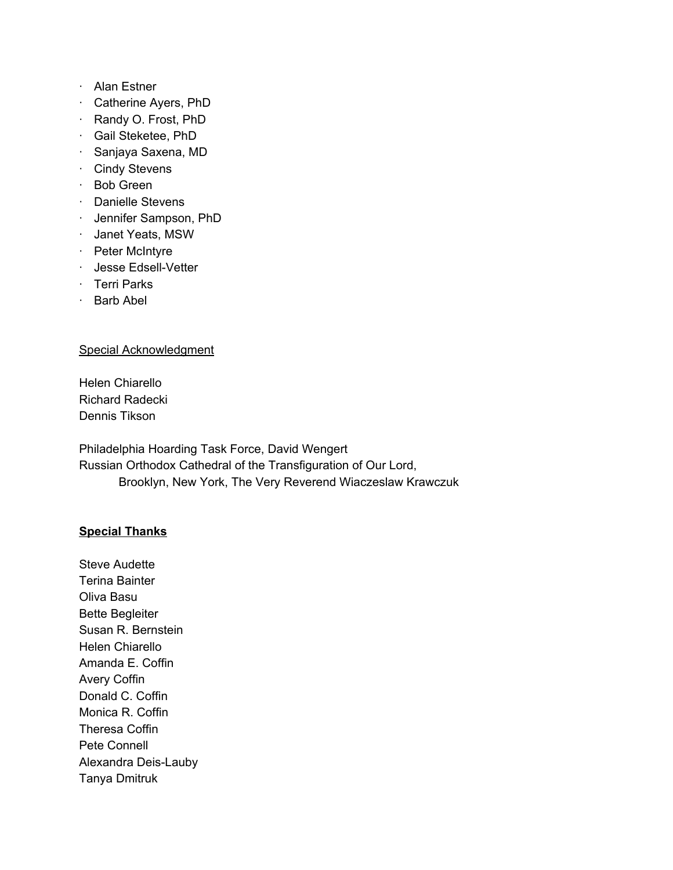- · Alan Estner
- · Catherine Ayers, PhD
- · Randy O. Frost, PhD
- · Gail Steketee, PhD
- · Sanjaya Saxena, MD
- · Cindy Stevens
- · Bob Green
- · Danielle Stevens
- · Jennifer Sampson, PhD
- · Janet Yeats, MSW
- · Peter McIntyre
- · Jesse Edsell-Vetter
- · Terri Parks
- · Barb Abel

## Special Acknowledgment

Helen Chiarello Richard Radecki Dennis Tikson

Philadelphia Hoarding Task Force, David Wengert Russian Orthodox Cathedral of the Transfiguration of Our Lord, Brooklyn, New York, The Very Reverend Wiaczeslaw Krawczuk

# **Special Thanks**

Steve Audette Terina Bainter Oliva Basu Bette Begleiter Susan R. Bernstein Helen Chiarello Amanda E. Coffin Avery Coffin Donald C. Coffin Monica R. Coffin Theresa Coffin Pete Connell Alexandra Deis-Lauby Tanya Dmitruk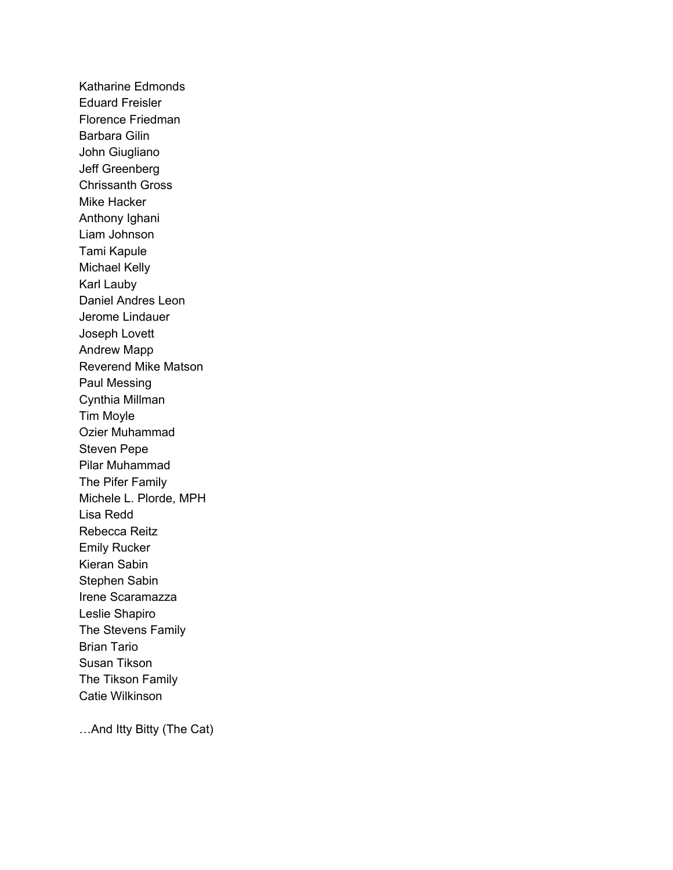Katharine Edmonds Eduard Freisler Florence Friedman Barbara Gilin John Giugliano Jeff Greenberg Chrissanth Gross Mike Hacker Anthony Ighani Liam Johnson Tami Kapule Michael Kelly Karl Lauby Daniel Andres Leon Jerome Lindauer Joseph Lovett Andrew Mapp Reverend Mike Matson Paul Messing Cynthia Millman Tim Moyle Ozier Muhammad Steven Pepe Pilar Muhammad The Pifer Family Michele L. Plorde, MPH Lisa Redd Rebecca Reitz Emily Rucker Kieran Sabin Stephen Sabin Irene Scaramazza Leslie Shapiro The Stevens Family Brian Tario Susan Tikson The Tikson Family Catie Wilkinson

…And Itty Bitty (The Cat)